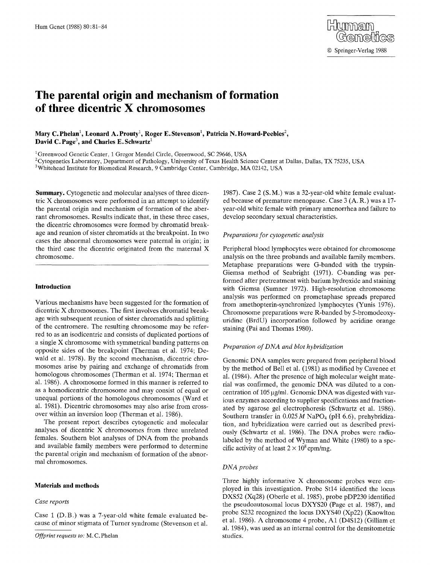# **The parental origin and mechanism of formation of three dicentric X chromosomes**

Mary C. Phelan<sup>1</sup>, Leonard A. Prouty<sup>1</sup>, Roger E. Stevenson<sup>1</sup>, Patricia N. Howard-Peebles<sup>2</sup>, David C. Page<sup>3</sup>, and Charles E. Schwartz<sup>1</sup>

<sup>1</sup>Greenwood Genetic Center, 1 Gregor Mendel Circle, Greenwood, SC 29646, USA

<sup>2</sup>Cytogenetics Laboratory, Department of Pathology, University of Texas Health Science Center at Dallas, Dallas, TX 75235, USA

<sup>3</sup> Whitehead Institute for Biomedical Research, 9 Cambridge Center, Cambridge, MA 02142, USA

**Summary.** Cytogenetic and molecular analyses of three dicentric X chromosomes were performed in an attempt to identify the parental origin and mechanism of formation of the aberrant chromosomes. Results indicate that, in these three cases, the dicentric chromosomes were formed by chromatid breakage and reunion of sister chromatids at the breakpoint. In two cases the abnormal chromosomes were paternal in origin; in the third case the dicentric originated from the maternal X chromosome.

# **Introduction**

Various mechanisms have been suggested for the formation of dicentric X chromosomes. The first involves chromatid breakage with subsequent reunion of sister chromatids and splitting of the centromere. The resulting chromosome may be referred to as an isodicentric and consists of duplicated portions of a single X chromosome with symmetrical banding patterns on opposite sides of the breakpoint (Therman et al. 1974; Dewald et al. 1978). By the second mechanism, dicentric chromosomes arise by pairing and exchange of chromatids from homologous chromosomes (Therman et al. 1974; Therman et al. 1986). A chromosome formed in this manner is referred to as a homodicentric chromosome and may consist of equal or unequal portions of the homologous chromosomes (Ward et al. 1981). Dicentric chromosomes may also arise from crossover within an inversion loop (Therman et al. 1986).

The present report describes cytogenetic and molecular analyses of dicentric X chromosomes from three unrelated females. Southern blot analyses of DNA from the probands and available family members were performed to determine the parental origin and mechanism of formation of the abnormal chromosomes.

#### **Materials and methods**

## *Case reports*

Case 1 (D.B.) was a 7-year-old white female evaluated because of minor stigmata of Turner syndrome (Stevenson et al.

1987). Case 2 (S. M.) was a 32-year-old white female evaluated because of premature menopause. Case 3 (A. R.) was a 17 year-old white female with primary amenorrhea and failure to develop secondary sexual characteristics.

#### *Preparations for cytogenetic analysis*

Peripheral blood lymphocytes were obtained for chromosome analysis on the three probands and available family members. Metaphase preparations were G-banded with the trypsin-Giemsa method of Seabright (1971). C-banding was performed after pretreatment with barium hydroxide and staining with Giemsa (Sumner 1972). High-resolution chromosome analysis was performed on prometaphase spreads prepared from amethopterin-synchronized lymphocytes (Yunis 1976). Chromosome preparations were R-banded by 5-bromodeoxyuridine (BrdU) incorporation followed by acridine orange staining (Pai and Thomas 1980).

## *Preparation of DNA and blot hybridization*

Genomic DNA samples were prepared from peripheral blood by the method of Bell et al. (1981) as modified by Cavenee et al. (1984). After the presence of high molecular weight material was confirmed, the genomic DNA was diluted to a concentration of 105 µg/ml. Genomic DNA was digested with various enzymes according to supplier specifications and fractionated by agarose gel electrophoresis (Schwartz et al. 1986). Southern transfer in  $0.025 M$  NaPO<sub>4</sub> (pH 6.6), prehybridization, and hybridization were carried out as described previously (Schwartz et al. 1986). The DNA probes were radiolabeled by the method of Wyman and White (1980) to a specific activity of at least  $2 \times 10^8$  cpm/mg.

## *DNA probes*

Three highly informative X chromosome probes were employed in this investigation. Probe St14 identified the locus DXS52 (Xq28) (Oberle et al. 1985), probe pDP230 identified the pseudoautosomal locus DXYS20 (Page et al. 1987), and probe \$232 recognized the locus DXYS40 (Xp22) (Knowlton et al. 1986). A chromosome 4 probe, A1 (D4S12) (Gilliam et al. 1984), was used as an internal control for the densitometric studies.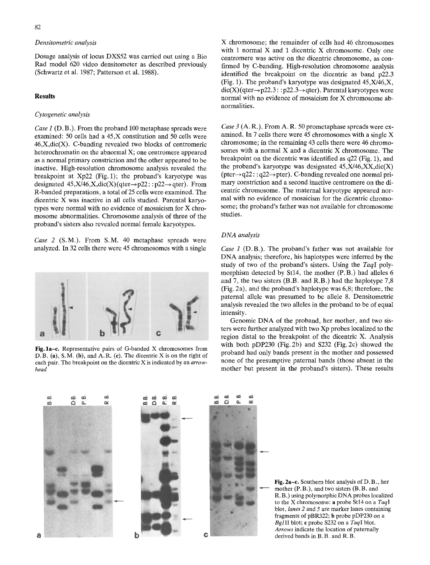# *Densitometric analysis*

Dosage analysis of locus DXS52 was carried out using a Bio Rad model 620 video densitometer as described previously (Schwartz et al. 1987; Patterson et al. 1988).

# **Results**

## *Cytogenetic analysis*

*Case 1 (D.B.).* From the proband 100 metaphase spreads were examined: 50 cells had a 45,X constitution and 50 cells were  $46, X, \text{dic}(X)$ . C-banding revealed two blocks of centromeric heterochromatin on the abnormal X; one centromere appeared as a normal primary constriction and the other appeared to be inactive. High-resolution chromosome analysis revealed the breakpoint at Xp22 (Fig. 1); the proband's karyotype was designated  $45, X/46, X, \text{dic}(X)(\text{qter} \rightarrow p22::p22 \rightarrow \text{qter})$ . From R-banded preparations, a total of 25 cells were examined. The dicentric X was inactive in all cells studied. Parental karyotypes were normal with no evidence of mosaicism for X chromosome abnormalities. Chromosome analysis of three of the proband's sisters also revealed normal female karyotypes.

*Case 2* (S.M.). From S.M. 40 metaphase spreads were analyzed. In 32 cells there were 45 chromosomes with a single



**Fig.** la-c. Representative pairs of G-banded X chromosomes from D.B. (a), S.M. (b), and A.R. (c). The dicentric X is on the right of each pair. The breakpoint on the dicentric X is indicated by an *arrowhead* 

X chromosome; the remainder of cells had 46 chromosomes with 1 normal X and 1 dicentric X chromosome. Only one centromere was active on the dicentric chromosome, as confirmed by C-banding. High-resolution chromosome analysis identified the breakpoint on the dicentric as band p22.3 (Fig. 1). The proband's karyotype was designated  $45, X/46, X$ ,  $\text{dic}(X)$  (qter $\rightarrow$  p22.3: : p22.3 $\rightarrow$  qter). Parental karyotypes were normal with no evidence of mosaicism for X chromosome abnormalities.

*Case 3 (A.R.).* From A.R. 50 prometaphase spreads were examined. In 7 cells there were 45 chromosomes with a single X chromosome; in the remaining 43 cells there were 46 chromosomes with a normal X and a dicentric X chromosome. The breakpoint on the dicentric was identified as q22 (Fig. 1), and the proband's karyotype was designated  $45, X/46, XX, dic(X)$  $(\text{pter} \rightarrow q22 : q22 \rightarrow \text{pter})$ . C-banding revealed one normal primary constriction and a second inactive centromere on the dicentric chromosome. The maternal karyotype appeared normal with no evidence of mosaicism for the dicentric chromosome; the proband's father was not available for chromosome studies.

#### *DNA analysis*

*Case 1 (D.B.).* The proband's father was not available for DNA analysis; therefore, his haplotypes were inferred by the study of two of the proband's sisters. Using the *TaqI* polymorphism detected by St14, the mother (P.B.) had alleles 6 and 7, the two sisters (B.B. and R.B.) had the haplotype 7,8 (Fig. 2a), and the proband's haplotype was 6,8; therefore, the paternal allele was presumed to be allele 8. Densitometric analysis revealed the two alleles in the proband to be of equal intensity.

Genomic DNA of the proband, her mother, and two sisters were further analyzed with two Xp probes localized to the region distal to the breakpoint of the dicentric X. Analysis with both pDP230 (Fig. 2b) and \$232 (Fig. 2c) showed the proband had only bands present in the mother and possessed none of the presumptive paternal bands (those absent in the mother but present in the proband's sisters). These results



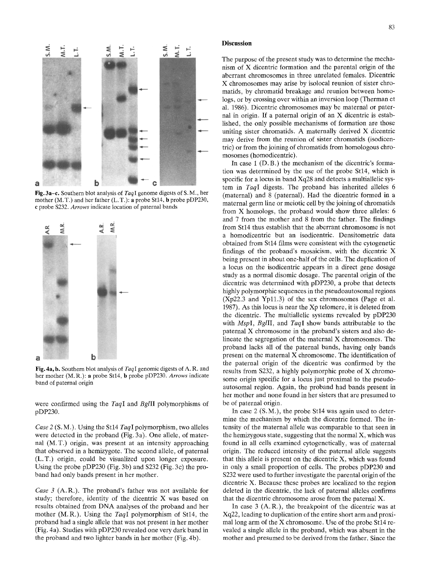

Fig. 3a-c. Southern blot analysis of *TaqI* genome digests of S. M., her mother (M. T.) and her father (L. T.): a probe Stl4, b probe pDP230, c probe \$232. *Arrows* indicate location of paternal bands



Fig. 4a, b. Southern blot analysis of *TaqI* genomic digests of A. R. and her mother (M. R.): a probe Stl4, b probe pDP230. *Arrows* indicate band of paternal origin

were confirmed using the *TaqI* and *BglII* polymorphisms of pDP230.

*Case 2* (S. M.). Using the St14 *TaqI* polymorphism, two alleles were detected in the proband (Fig. 3a). One allele, of maternal (M.T.) origin, was present at an intensity approaching that observed in a hemizygote. The second allele, of paternal (L.T.) origin, could be visualized upon longer exposure. Using the probe pDP230 (Fig. 3b) and \$232 (Fig. 3c) the proband had only bands present in her mother.

*Case 3* (A. R.). The proband's father was not available for study; therefore, identity of the dicentric X was based on results obtained from DNA analyses of the proband and her mother (M.R.). Using the *TaqI* polymorphism of St14, the proband had a single allele that was not present in her mother (Fig. 4a). Studies with pDP230 revealed one very dark band in the proband and two lighter bands in her mother (Fig. 4b).

## **Discussion**

The purpose of the present study was to determine the mechanism of X dicentric formation and the parental origin of the aberrant chromosomes in three unrelated females. Dicentric X chromosomes may arise by isolocal reunion of sister chromatids, by chromatid breakage and reunion between homologs, or by crossing over within an inversion loop (Therman et al. 1986). Dicentric chromosomes may be maternal or paternal in origin. If a paternal origin of an X dicentric is established, the only possible mechanisms of formation are those uniting sister chromatids. A maternally derived X dicentric may derive from the reunion of sister chromatids (isodicentric) or from the joining of chromatids from homologous chromosomes (homodicentric).

In case 1 (D.B.) the mechanism of the dicentric's formation was determined by the use of the probe St14, which is specific for a locus in band Xq28 and detects a multiallelic system in *TaqI* digests. The proband has inherited alleles 6 (maternal) and 8 (paternal). Had the dicentric formed in a maternal germ line or meiotic cell by the joining of chromatids from X homologs, the proband would show three alleles: 6 and 7 from the mother and 8 from the father. The findings from St14 thus establish that the aberrant chromosome is not a homodicentric but an isodicentric. Densitometric data obtained from St14 films were consistent with the cytogenetic findings of the proband's mosaicism, with the dicentric X being present in about one-half of the cells. The duplication of a locus on the isodicentric appears in a direct gene dosage study as a normal disomic dosage. The parental origin of the dicentric was determined with pDP230, a probe that detects highly polymorphic sequences in the pseudoautosomal regions (Xp22.3 and Yp11.3) of the sex chromosomes (Page et al. 1987). As this locus is near the Xp telomere, it is deleted from the dicentric. The multiallelic systems revealed by pDP230 with *MspI, BglII,* and *TaqI* show bands attributable to the paternal X chromosome in the proband's sisters and also delineate the segregation of the maternal X chromosomes. The proband lacks all of the paternal bands, having only bands present on the maternal X chromosome. The identification of the paternal origin of the dicentric was confirmed by the results from \$232, a highly polymorphic probe of X chromosome origin specific for a locus just proximal to the pseudoautosomal region. Again, the proband had bands present in her mother and none found in her sisters that are presumed to be of paternal origin.

In case 2 (S.M.), the probe St14 was again used to determine the mechanism by which the dicentric formed. The intensity of the maternal allele was comparable to that seen in the hemizygous state, suggesting that the normal  $X$ , which was found in all cells examined cytogenetically, was of maternal origin. The reduced intensity of the paternal allele suggests that this allele is present on the dicentric X, which was found in only a small proportion of cells. The probes pDP230 and \$232 were used to further investigate the parental origin of the dicentric X. Because these probes are localized to the region deleted in the dicentric, the lack of paternal alleles confirms that the dicentric chromosome arose from the paternal X.

In case 3 (A.R.), the breakpoint of the dicentric was at Xq22, leading to duplication of the entire short arm and proximal long arm of the X chromosome. Use of the probe Stl4 revealed a single allele in the proband, which was absent in the mother and presumed to be derived from the father. Since the